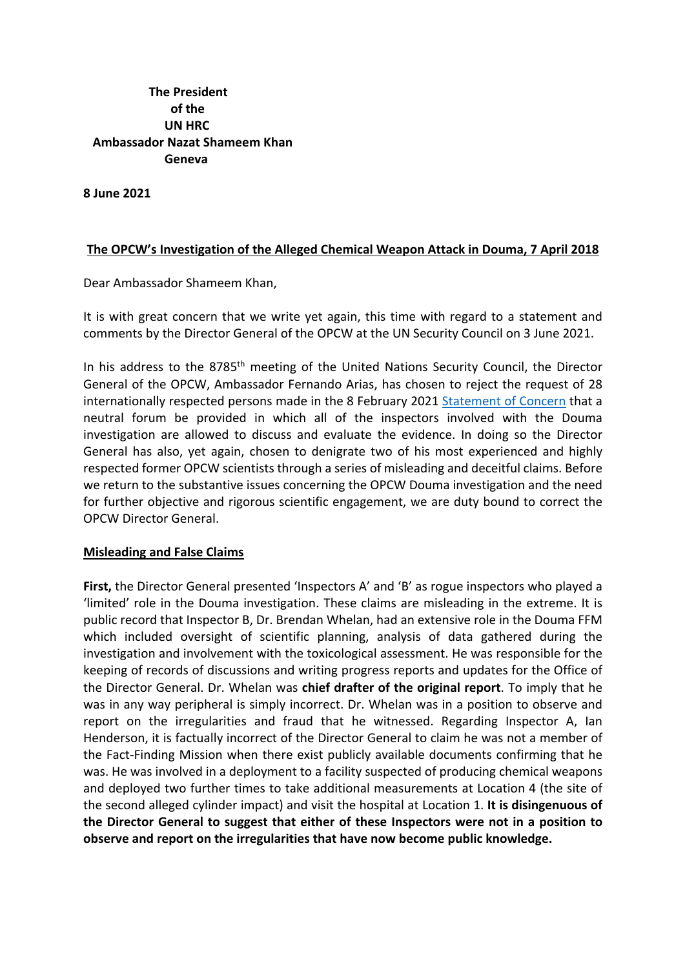**The President of the UN HRC Ambassador Nazat Shameem Khan Geneva**

**8 June 2021**

## **The OPCW's Investigation of the Alleged Chemical Weapon Attack in Douma, 7 April 2018**

Dear Ambassador Shameem Khan,

It is with great concern that we write yet again, this time with regard to a statement and comments by the Director General of the OPCW at the UN Security Council on 3 June 2021.

In his address to the 8785<sup>th</sup> meeting of the United Nations Security Council, the Director General of the OPCW, Ambassador Fernando Arias, has chosen to reject the request of 28 internationally respected persons made in the 8 February 2021 Statement of Concern that a neutral forum be provided in which all of the inspectors involved with the Douma investigation are allowed to discuss and evaluate the evidence. In doing so the Director General has also, yet again, chosen to denigrate two of his most experienced and highly respected former OPCW scientists through a series of misleading and deceitful claims. Before we return to the substantive issues concerning the OPCW Douma investigation and the need for further objective and rigorous scientific engagement, we are duty bound to correct the OPCW Director General.

## **Misleading and False Claims**

**First,** the Director General presented 'Inspectors A' and 'B' as rogue inspectors who played a 'limited' role in the Douma investigation. These claims are misleading in the extreme. It is public record that Inspector B, Dr. Brendan Whelan, had an extensive role in the Douma FFM which included oversight of scientific planning, analysis of data gathered during the investigation and involvement with the toxicological assessment. He was responsible for the keeping of records of discussions and writing progress reports and updates for the Office of the Director General. Dr. Whelan was **chief drafter of the original report**. To imply that he was in any way peripheral is simply incorrect. Dr. Whelan was in a position to observe and report on the irregularities and fraud that he witnessed. Regarding Inspector A, Ian Henderson, it is factually incorrect of the Director General to claim he was not a member of the Fact-Finding Mission when there exist publicly available documents confirming that he was. He was involved in a deployment to a facility suspected of producing chemical weapons and deployed two further times to take additional measurements at Location 4 (the site of the second alleged cylinder impact) and visit the hospital at Location 1. **It is disingenuous of the Director General to suggest that either of these Inspectors were not in a position to observe and report on the irregularities that have now become public knowledge.**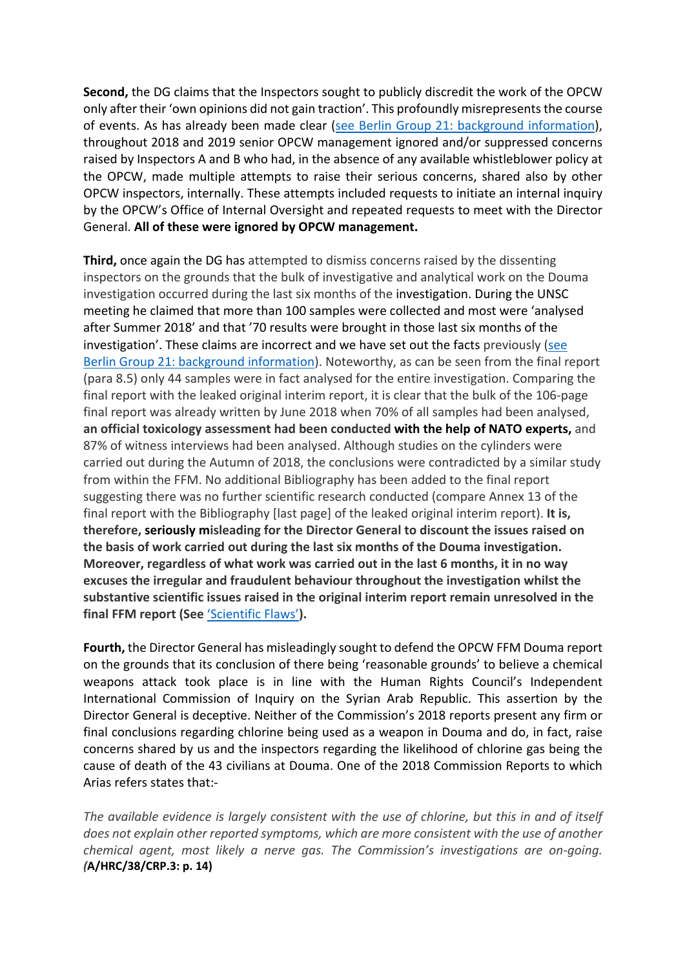**Second,** the DG claims that the Inspectors sought to publicly discredit the work of the OPCW only after their 'own opinions did not gain traction'. This profoundly misrepresents the course of events. As has already been made clear (see Berlin Group 21: background information), throughout 2018 and 2019 senior OPCW management ignored and/or suppressed concerns raised by Inspectors A and B who had, in the absence of any available whistleblower policy at the OPCW, made multiple attempts to raise their serious concerns, shared also by other OPCW inspectors, internally. These attempts included requests to initiate an internal inquiry by the OPCW's Office of Internal Oversight and repeated requests to meet with the Director General. **All of these were ignored by OPCW management.**

**Third,** once again the DG has attempted to dismiss concerns raised by the dissenting inspectors on the grounds that the bulk of investigative and analytical work on the Douma investigation occurred during the last six months of the investigation. During the UNSC meeting he claimed that more than 100 samples were collected and most were 'analysed after Summer 2018' and that '70 results were brought in those last six months of the investigation'. These claims are incorrect and we have set out the facts previously (see Berlin Group 21: background information). Noteworthy, as can be seen from the final report (para 8.5) only 44 samples were in fact analysed for the entire investigation. Comparing the final report with the leaked original interim report, it is clear that the bulk of the 106-page final report was already written by June 2018 when 70% of all samples had been analysed, **an official toxicology assessment had been conducted with the help of NATO experts,** and 87% of witness interviews had been analysed. Although studies on the cylinders were carried out during the Autumn of 2018, the conclusions were contradicted by a similar study from within the FFM. No additional Bibliography has been added to the final report suggesting there was no further scientific research conducted (compare Annex 13 of the final report with the Bibliography [last page] of the leaked original interim report). **It is, therefore, seriously misleading for the Director General to discount the issues raised on the basis of work carried out during the last six months of the Douma investigation. Moreover, regardless of what work was carried out in the last 6 months, it in no way excuses the irregular and fraudulent behaviour throughout the investigation whilst the substantive scientific issues raised in the original interim report remain unresolved in the final FFM report (See** 'Scientific Flaws'**).**

**Fourth,** the Director General has misleadingly sought to defend the OPCW FFM Douma report on the grounds that its conclusion of there being 'reasonable grounds' to believe a chemical weapons attack took place is in line with the Human Rights Council's Independent International Commission of Inquiry on the Syrian Arab Republic. This assertion by the Director General is deceptive. Neither of the Commission's 2018 reports present any firm or final conclusions regarding chlorine being used as a weapon in Douma and do, in fact, raise concerns shared by us and the inspectors regarding the likelihood of chlorine gas being the cause of death of the 43 civilians at Douma. One of the 2018 Commission Reports to which Arias refers states that:-

*The available evidence is largely consistent with the use of chlorine, but this in and of itself does not explain other reported symptoms, which are more consistent with the use of another chemical agent, most likely a nerve gas. The Commission's investigations are on-going. (***A/HRC/38/CRP.3: p. 14)**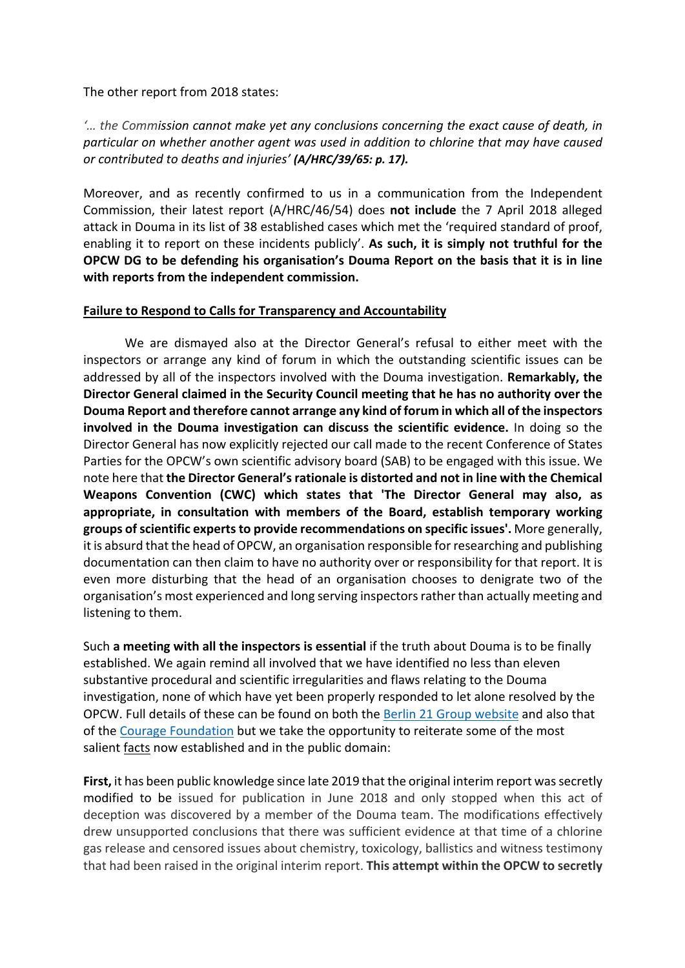## The other report from 2018 states:

*'… the Commission cannot make yet any conclusions concerning the exact cause of death, in particular on whether another agent was used in addition to chlorine that may have caused or contributed to deaths and injuries' (A/HRC/39/65: p. 17).*

Moreover, and as recently confirmed to us in a communication from the Independent Commission, their latest report (A/HRC/46/54) does **not include** the 7 April 2018 alleged attack in Douma in its list of 38 established cases which met the 'required standard of proof, enabling it to report on these incidents publicly'. **As such, it is simply not truthful for the OPCW DG to be defending his organisation's Douma Report on the basis that it is in line with reports from the independent commission.**

## **Failure to Respond to Calls for Transparency and Accountability**

We are dismayed also at the Director General's refusal to either meet with the inspectors or arrange any kind of forum in which the outstanding scientific issues can be addressed by all of the inspectors involved with the Douma investigation. **Remarkably, the Director General claimed in the Security Council meeting that he has no authority over the Douma Report and therefore cannot arrange any kind of forum in which all of the inspectors involved in the Douma investigation can discuss the scientific evidence.** In doing so the Director General has now explicitly rejected our call made to the recent Conference of States Parties for the OPCW's own scientific advisory board (SAB) to be engaged with this issue. We note here that **the Director General's rationale is distorted and not in line with the Chemical Weapons Convention (CWC) which states that 'The Director General may also, as appropriate, in consultation with members of the Board, establish temporary working groups of scientific experts to provide recommendations on specific issues'.** More generally, it is absurd that the head of OPCW, an organisation responsible for researching and publishing documentation can then claim to have no authority over or responsibility for that report. It is even more disturbing that the head of an organisation chooses to denigrate two of the organisation's most experienced and long serving inspectors rather than actually meeting and listening to them.

Such **a meeting with all the inspectors is essential** if the truth about Douma is to be finally established. We again remind all involved that we have identified no less than eleven substantive procedural and scientific irregularities and flaws relating to the Douma investigation, none of which have yet been properly responded to let alone resolved by the OPCW. Full details of these can be found on both the Berlin 21 Group website and also that of the Courage Foundation but we take the opportunity to reiterate some of the most salient facts now established and in the public domain:

**First,** it has been public knowledge since late 2019 that the original interim report was secretly modified to be issued for publication in June 2018 and only stopped when this act of deception was discovered by a member of the Douma team. The modifications effectively drew unsupported conclusions that there was sufficient evidence at that time of a chlorine gas release and censored issues about chemistry, toxicology, ballistics and witness testimony that had been raised in the original interim report. **This attempt within the OPCW to secretly**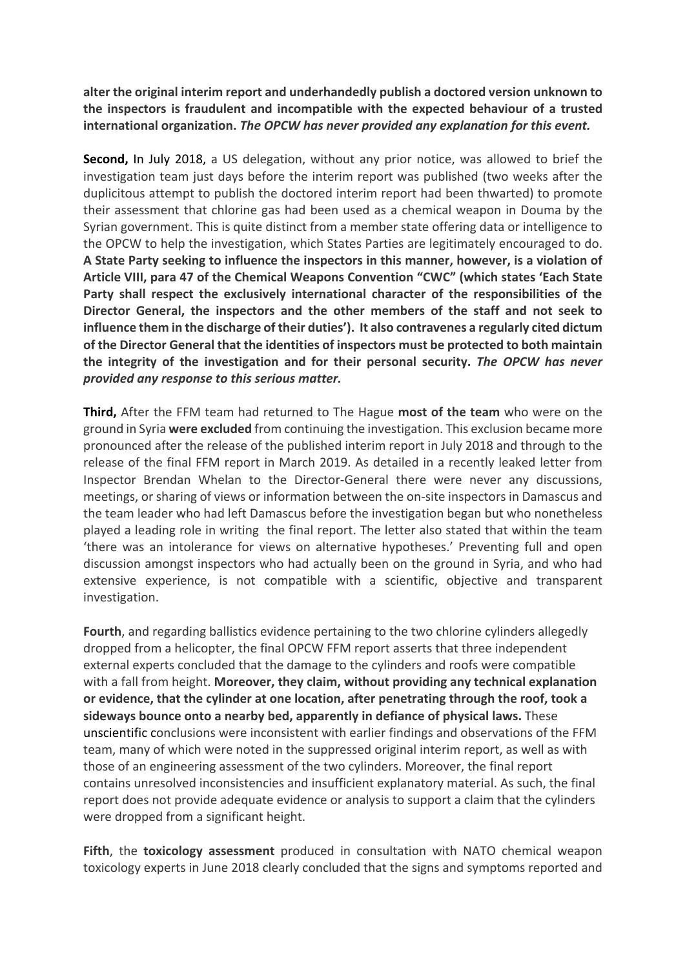**alter the original interim report and underhandedly publish a doctored version unknown to the inspectors is fraudulent and incompatible with the expected behaviour of a trusted international organization.** *The OPCW has never provided any explanation for this event.*

**Second,** In July 2018, a US delegation, without any prior notice, was allowed to brief the investigation team just days before the interim report was published (two weeks after the duplicitous attempt to publish the doctored interim report had been thwarted) to promote their assessment that chlorine gas had been used as a chemical weapon in Douma by the Syrian government. This is quite distinct from a member state offering data or intelligence to the OPCW to help the investigation, which States Parties are legitimately encouraged to do. **A State Party seeking to influence the inspectors in this manner, however, is a violation of Article VIII, para 47 of the Chemical Weapons Convention "CWC" (which states 'Each State Party shall respect the exclusively international character of the responsibilities of the Director General, the inspectors and the other members of the staff and not seek to influence them in the discharge of their duties'). It also contravenes a regularly cited dictum of the Director General that the identities of inspectors must be protected to both maintain the integrity of the investigation and for their personal security.** *The OPCW has never provided any response to this serious matter.*

**Third,** After the FFM team had returned to The Hague **most of the team** who were on the ground in Syria **were excluded** from continuing the investigation. This exclusion became more pronounced after the release of the published interim report in July 2018 and through to the release of the final FFM report in March 2019. As detailed in a recently leaked letter from Inspector Brendan Whelan to the Director-General there were never any discussions, meetings, or sharing of views or information between the on-site inspectors in Damascus and the team leader who had left Damascus before the investigation began but who nonetheless played a leading role in writing the final report. The letter also stated that within the team 'there was an intolerance for views on alternative hypotheses.' Preventing full and open discussion amongst inspectors who had actually been on the ground in Syria, and who had extensive experience, is not compatible with a scientific, objective and transparent investigation.

**Fourth**, and regarding ballistics evidence pertaining to the two chlorine cylinders allegedly dropped from a helicopter, the final OPCW FFM report asserts that three independent external experts concluded that the damage to the cylinders and roofs were compatible with a fall from height. **Moreover, they claim, without providing any technical explanation or evidence, that the cylinder at one location, after penetrating through the roof, took a sideways bounce onto a nearby bed, apparently in defiance of physical laws.** These unscientific conclusions were inconsistent with earlier findings and observations of the FFM team, many of which were noted in the suppressed original interim report, as well as with those of an engineering assessment of the two cylinders. Moreover, the final report contains unresolved inconsistencies and insufficient explanatory material. As such, the final report does not provide adequate evidence or analysis to support a claim that the cylinders were dropped from a significant height.

**Fifth**, the **toxicology assessment** produced in consultation with NATO chemical weapon toxicology experts in June 2018 clearly concluded that the signs and symptoms reported and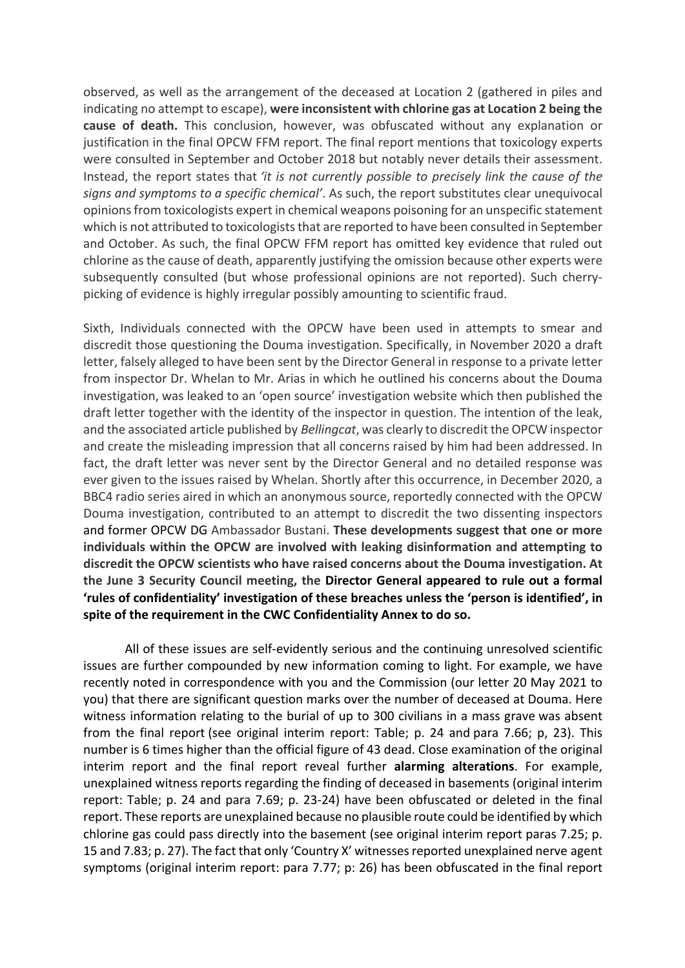observed, as well as the arrangement of the deceased at Location 2 (gathered in piles and indicating no attempt to escape), **were inconsistent with chlorine gas at Location 2 being the cause of death.** This conclusion, however, was obfuscated without any explanation or justification in the final OPCW FFM report. The final report mentions that toxicology experts were consulted in September and October 2018 but notably never details their assessment. Instead, the report states that *'it is not currently possible to precisely link the cause of the signs and symptoms to a specific chemical'*. As such, the report substitutes clear unequivocal opinions from toxicologists expert in chemical weapons poisoning for an unspecific statement which is not attributed to toxicologists that are reported to have been consulted in September and October. As such, the final OPCW FFM report has omitted key evidence that ruled out chlorine as the cause of death, apparently justifying the omission because other experts were subsequently consulted (but whose professional opinions are not reported). Such cherrypicking of evidence is highly irregular possibly amounting to scientific fraud.

Sixth, Individuals connected with the OPCW have been used in attempts to smear and discredit those questioning the Douma investigation. Specifically, in November 2020 a draft letter, falsely alleged to have been sent by the Director General in response to a private letter from inspector Dr. Whelan to Mr. Arias in which he outlined his concerns about the Douma investigation, was leaked to an 'open source' investigation website which then published the draft letter together with the identity of the inspector in question. The intention of the leak, and the associated article published by *Bellingcat*, was clearly to discredit the OPCW inspector and create the misleading impression that all concerns raised by him had been addressed. In fact, the draft letter was never sent by the Director General and no detailed response was ever given to the issues raised by Whelan. Shortly after this occurrence, in December 2020, a BBC4 radio series aired in which an anonymous source, reportedly connected with the OPCW Douma investigation, contributed to an attempt to discredit the two dissenting inspectors and former OPCW DG Ambassador Bustani. **These developments suggest that one or more individuals within the OPCW are involved with leaking disinformation and attempting to discredit the OPCW scientists who have raised concerns about the Douma investigation. At the June 3 Security Council meeting, the Director General appeared to rule out a formal 'rules of confidentiality' investigation of these breaches unless the 'person is identified', in spite of the requirement in the CWC Confidentiality Annex to do so.**

All of these issues are self-evidently serious and the continuing unresolved scientific issues are further compounded by new information coming to light. For example, we have recently noted in correspondence with you and the Commission (our letter 20 May 2021 to you) that there are significant question marks over the number of deceased at Douma. Here witness information relating to the burial of up to 300 civilians in a mass grave was absent from the final report (see original interim report: Table; p. 24 and para 7.66; p, 23). This number is 6 times higher than the official figure of 43 dead. Close examination of the original interim report and the final report reveal further **alarming alterations**. For example, unexplained witness reports regarding the finding of deceased in basements (original interim report: Table; p. 24 and para 7.69; p. 23-24) have been obfuscated or deleted in the final report. These reports are unexplained because no plausible route could be identified by which chlorine gas could pass directly into the basement (see original interim report paras 7.25; p. 15 and 7.83; p. 27). The fact that only 'Country X' witnesses reported unexplained nerve agent symptoms (original interim report: para 7.77; p: 26) has been obfuscated in the final report